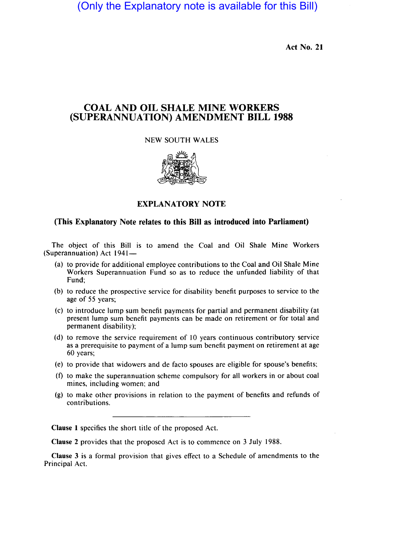(Only the Explanatory note is available for this Bill)

Act No. 21

# COAL AND OIL SHALE MINE WORKERS (SUPERANNUATION) AMENDMENT BILL 1988

# NEW SOUTH WALES



# EXPLANATORY NOTE

# (This Explanatory Note relates to this Bill as introduced into Parliament)

The object of this Bill is to amend the Coal and Oil Shale Mine Workers (Superannuation) Act 1941-

- (a) to provide for additional employee contributions to the Coal and Oil Shale Mine Workers Superannuation Fund so as to reduce the unfunded liability of that Fund;
- (b) to reduce the prospective service for disability benefit purposes to service to the age of 55 years;
- (c) to introduce lump sum benefit payments for partial and permanent disability (at present lump sum benefit payments can be made on retirement or for total and permanent disability);
- (d) to remove the service requirement of 10 years continuous contributory service as a prerequisite to payment of a lump sum benefit payment on retirement at age 60 years;
- (e) to provide that widowers and de facto spouses are eligible for spouse's benefits;
- (f) to make the superannuation scheme compulsory for all workers in or about coal mines, including women; and
- (g) to make other provisions in relation to the payment of benefits and refunds of contributions.

Clause 1 specifies the short title of the proposed Act.

Clause 2 provides that the proposed Act is to commence on 3 July 1988.

Clause 3 is a formal provision that gives effect to a Schedule of amendments to the Principal Act.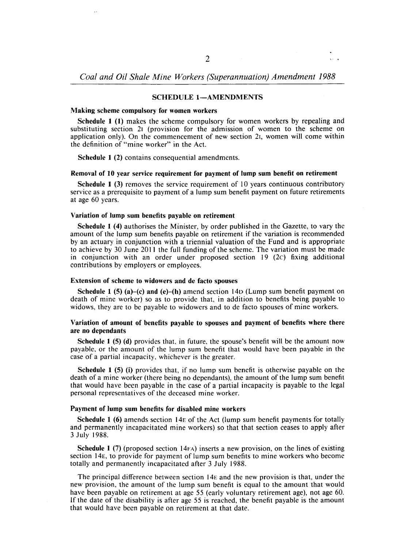### SCHEDULE 1-AMENDMENTS

#### Making scheme compulsory for women workers

Schedule 1 (1) makes the scheme compulsory for women workers by repealing and substituting section 21 (provision for the admission of women to the scheme on application only). On the commencement of new section 21, women will come within the definition of "mine worker" in the Act.

Schedule 1 (2) contains consequential amendments.

## Removal of 10 year service requirement for payment of lump sum benefit on retirement

Schedule 1 (3) removes the service requirement of 10 years continuous contributory service as a prerequisite to payment of a lump sum benefit payment on future retirements at age 60 years.

## Variation of lump sum benefits payable on retirement

Schedule 1 (4) authorises the Minister, by order published in the Gazette, to vary the amount of the lump sum benefits payable on retirement if the variation is recommended by an actuary in conjunction with a triennial valuation of the Fund and is appropriate to achieve by 30 June 2011 the full funding of the scheme. The variation must be made in conjunction with an order under proposed section  $19 \text{ (2c)}$  fixing additional contributions by employers or employees.

### Extension of scheme to widowers and de facto spouses

Schedule 1 (5) (a)–(c) and (e)–(h) amend section 14D (Lump sum benefit payment on death of mine worker) so as to provide that, in addition to benefits being payable to widows, they are to be payable to widowers and to de facto spouses of mine workers.

## Variation of amount of benefits payable to spouses and payment of benefits where there are no dependants

Schedule 1 (5) (d) provides that, in future, the spouse's benefit will be the amount now payable, or the amount of the lump sum benefit that would have been payable in the case of a partial incapacity, whichever is the greater.

Schedule 1 (5) (i) provides that, if no lump sum benefit is otherwise payable on the death of a mine worker (there being no dependants), the amount of the lump sum benefit that would have been payable in the case of a partial incapacity is payable to the legal personal representatives of the deceased mine worker.

#### Payment of lump sum benefits for disabled mine workers

Schedule 1 (6) amends section 14E of the Act (lump sum benefit payments for totally and permanently incapacitated mine workers) so that that section ceases to apply after 3 July 1988.

Schedule 1 (7) (proposed section 14FA) inserts a new provision, on the lines of existing section 14E, to provide for payment of lump sum benefits to mine workers who become totally and permanently incapacitated after 3 July 1988.

The principal difference between section  $14E$  and the new provision is that, under the new provision, the amount of the lump sum benefit is equal to the amount that would have been payable on retirement at age 55 (early voluntary retirement age), not age 60. If the date of the disability is after age 55 is reached, the benefit payable is the amount that would have been payable on retirement at that date.